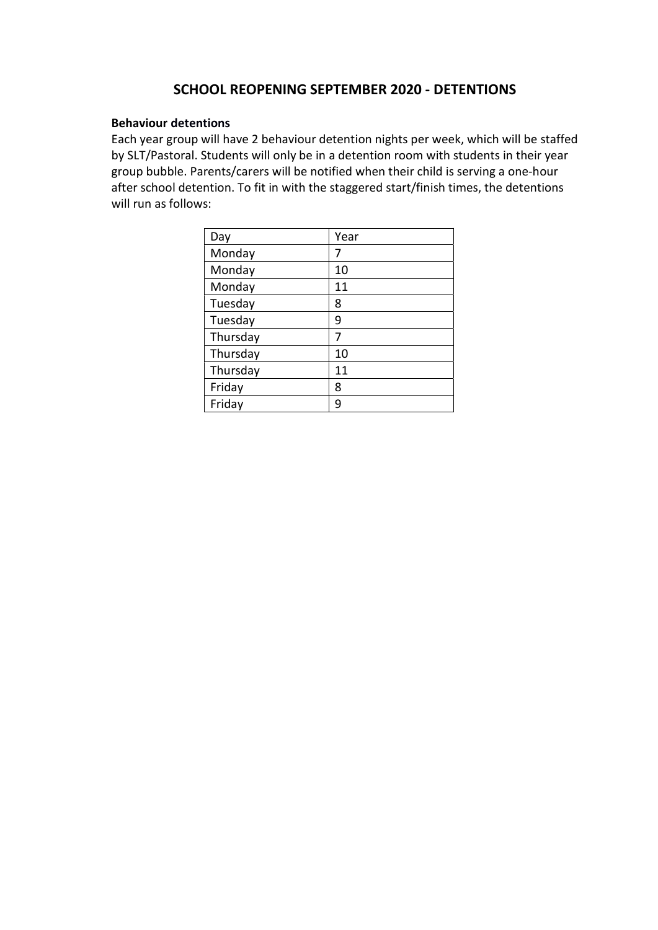## SCHOOL REOPENING SEPTEMBER 2020 - DETENTIONS

## Behaviour detentions

Each year group will have 2 behaviour detention nights per week, which will be staffed by SLT/Pastoral. Students will only be in a detention room with students in their year group bubble. Parents/carers will be notified when their child is serving a one-hour after school detention. To fit in with the staggered start/finish times, the detentions will run as follows:

| Day      | Year |
|----------|------|
| Monday   | 7    |
| Monday   | 10   |
| Monday   | 11   |
| Tuesday  | 8    |
| Tuesday  | 9    |
| Thursday | 7    |
| Thursday | 10   |
| Thursday | 11   |
| Friday   | 8    |
| Friday   | q    |